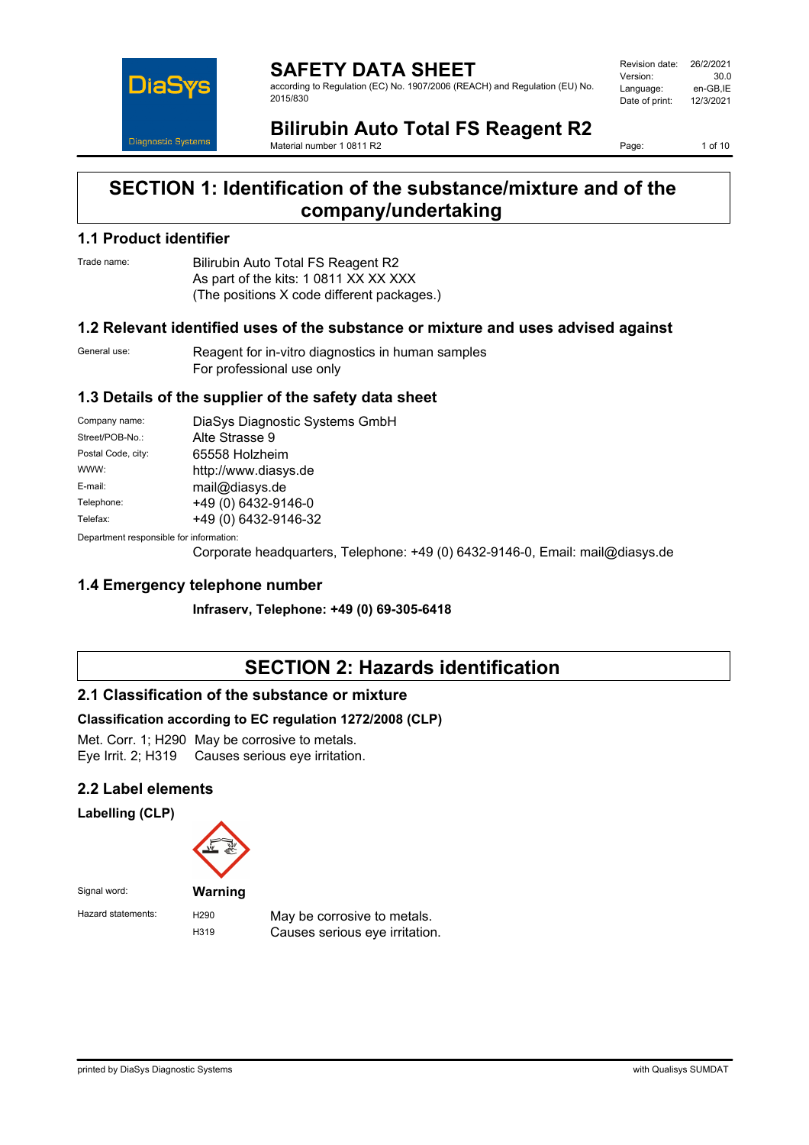

**SAFETY DATA SHEET** according to Regulation (EC) No. 1907/2006 (REACH) and Regulation (EU) No. 2015/830

Revision date: 26/2/2021 Version: 30.0 Language: en-GB,IE<br>Date of print: 12/3/2021 Date of print:

**Bilirubin Auto Total FS Reagent R2** Material number 1 0811 R2

Page: 1 of 10

# **SECTION 1: Identification of the substance/mixture and of the company/undertaking**

### **1.1 Product identifier**

Trade name: Bilirubin Auto Total FS Reagent R2 As part of the kits: 1 0811 XX XX XXX (The positions X code different packages.)

### **1.2 Relevant identified uses of the substance or mixture and uses advised against**

General use: Reagent for in-vitro diagnostics in human samples For professional use only

### **1.3 Details of the supplier of the safety data sheet**

| Company name:                                            | DiaSys Diagnostic Systems GmbH |  |
|----------------------------------------------------------|--------------------------------|--|
| Street/POB-No.:                                          | Alte Strasse 9                 |  |
| Postal Code, city:                                       | 65558 Holzheim                 |  |
| WWW:                                                     | http://www.diasys.de           |  |
| E-mail:                                                  | mail@diasys.de                 |  |
| Telephone:                                               | +49 (0) 6432-9146-0            |  |
| Telefax:                                                 | +49 (0) 6432-9146-32           |  |
| Description and an americally from the former of the co- |                                |  |

Department responsible for information:

Corporate headquarters, Telephone: +49 (0) 6432-9146-0, Email: mail@diasys.de

### **1.4 Emergency telephone number**

**Infraserv, Telephone: +49 (0) 69-305-6418**

# **SECTION 2: Hazards identification**

### **2.1 Classification of the substance or mixture**

### **Classification according to EC regulation 1272/2008 (CLP)**

Met. Corr. 1; H290 May be corrosive to metals. Eye Irrit. 2; H319 Causes serious eye irritation.

### **2.2 Label elements**

**Labelling (CLP)**



Hazard statements: H290 May be corrosive to metals.<br>H319 Causes serious eve irritation Causes serious eve irritation.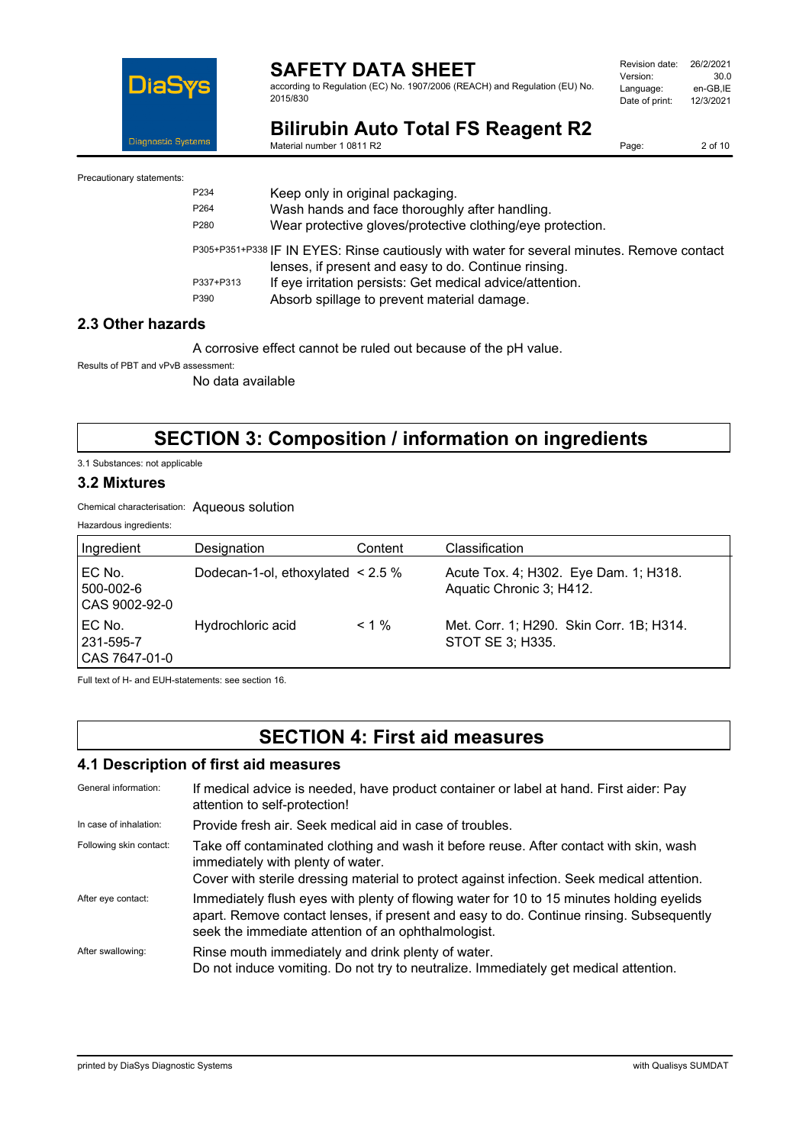

according to Regulation (EC) No. 1907/2006 (REACH) and Regulation (EU) No. 2015/830

| Revision date: | 26/2/2021 |
|----------------|-----------|
| Version:       | 30.0      |
| Language:      | en-GB.IE  |
| Date of print: | 12/3/2021 |
|                |           |

**Bilirubin Auto Total FS Reagent R2** Material number 1 0811 R2

Page: 2 of 10

Precautionary statements:

| P <sub>2</sub> 34 | Keep only in original packaging.                                                                                                                   |
|-------------------|----------------------------------------------------------------------------------------------------------------------------------------------------|
| P <sub>264</sub>  | Wash hands and face thoroughly after handling.                                                                                                     |
| P280              | Wear protective gloves/protective clothing/eye protection.                                                                                         |
|                   | P305+P351+P338 IF IN EYES: Rinse cautiously with water for several minutes. Remove contact<br>lenses, if present and easy to do. Continue rinsing. |
| P337+P313         | If eye irritation persists: Get medical advice/attention.                                                                                          |
| P390              | Absorb spillage to prevent material damage.                                                                                                        |

## **2.3 Other hazards**

A corrosive effect cannot be ruled out because of the pH value.

Results of PBT and vPvB assessment:

No data available

# **SECTION 3: Composition / information on ingredients**

3.1 Substances: not applicable

### **3.2 Mixtures**

Chemical characterisation: Aqueous solution

Hazardous ingredients:

| Ingredient                               | Designation                            | Content  | Classification                                                    |
|------------------------------------------|----------------------------------------|----------|-------------------------------------------------------------------|
| l EC No.<br>l 500-002-6<br>CAS 9002-92-0 | Dodecan-1-ol, ethoxylated $\leq$ 2.5 % |          | Acute Tox. 4; H302. Eye Dam. 1; H318.<br>Aquatic Chronic 3; H412. |
| l EC No.<br>l 231-595-7<br>CAS 7647-01-0 | Hydrochloric acid                      | $< 1 \%$ | Met. Corr. 1; H290. Skin Corr. 1B; H314.<br>STOT SE 3; H335.      |

Full text of H- and EUH-statements: see section 16.

# **SECTION 4: First aid measures**

### **4.1 Description of first aid measures**

| General information:    | If medical advice is needed, have product container or label at hand. First aider: Pay<br>attention to self-protection!                                                                                                                    |
|-------------------------|--------------------------------------------------------------------------------------------------------------------------------------------------------------------------------------------------------------------------------------------|
| In case of inhalation:  | Provide fresh air. Seek medical aid in case of troubles.                                                                                                                                                                                   |
| Following skin contact: | Take off contaminated clothing and wash it before reuse. After contact with skin, wash<br>immediately with plenty of water.<br>Cover with sterile dressing material to protect against infection. Seek medical attention.                  |
| After eye contact:      | Immediately flush eyes with plenty of flowing water for 10 to 15 minutes holding eyelids<br>apart. Remove contact lenses, if present and easy to do. Continue rinsing. Subsequently<br>seek the immediate attention of an ophthalmologist. |
| After swallowing:       | Rinse mouth immediately and drink plenty of water.<br>Do not induce vomiting. Do not try to neutralize. Immediately get medical attention.                                                                                                 |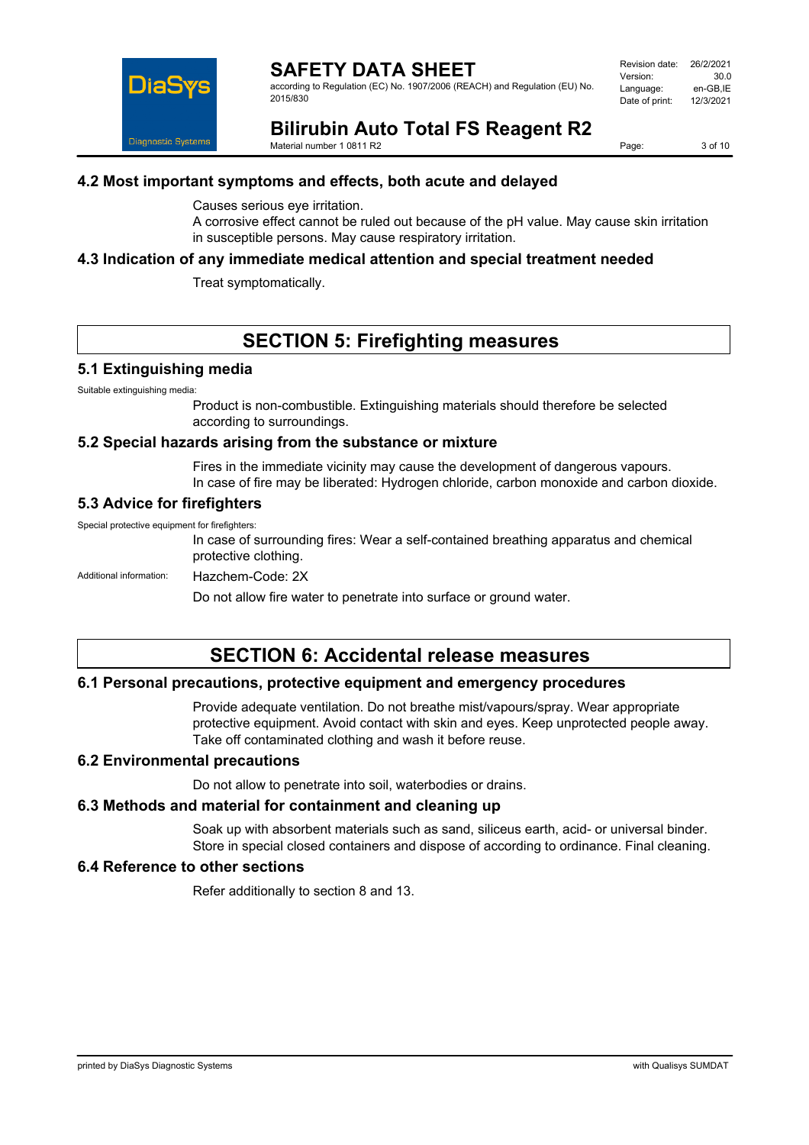

according to Regulation (EC) No. 1907/2006 (REACH) and Regulation (EU) No. 2015/830

| Revision date: | 26/2/2021 |
|----------------|-----------|
| Version:       | 30.0      |
| Language:      | en-GB.IE  |
| Date of print: | 12/3/2021 |
|                |           |

**Bilirubin Auto Total FS Reagent R2** Material number 1 0811 R2

Page: 3 of 10

### **4.2 Most important symptoms and effects, both acute and delayed**

Causes serious eye irritation.

A corrosive effect cannot be ruled out because of the pH value. May cause skin irritation in susceptible persons. May cause respiratory irritation.

### **4.3 Indication of any immediate medical attention and special treatment needed**

Treat symptomatically.

# **SECTION 5: Firefighting measures**

### **5.1 Extinguishing media**

Suitable extinguishing media:

Product is non-combustible. Extinguishing materials should therefore be selected according to surroundings.

#### **5.2 Special hazards arising from the substance or mixture**

Fires in the immediate vicinity may cause the development of dangerous vapours. In case of fire may be liberated: Hydrogen chloride, carbon monoxide and carbon dioxide.

### **5.3 Advice for firefighters**

Special protective equipment for firefighters:

In case of surrounding fires: Wear a self-contained breathing apparatus and chemical protective clothing.

Additional information: Hazchem-Code: 2X

Do not allow fire water to penetrate into surface or ground water.

# **SECTION 6: Accidental release measures**

### **6.1 Personal precautions, protective equipment and emergency procedures**

Provide adequate ventilation. Do not breathe mist/vapours/spray. Wear appropriate protective equipment. Avoid contact with skin and eyes. Keep unprotected people away. Take off contaminated clothing and wash it before reuse.

#### **6.2 Environmental precautions**

Do not allow to penetrate into soil, waterbodies or drains.

### **6.3 Methods and material for containment and cleaning up**

Soak up with absorbent materials such as sand, siliceus earth, acid- or universal binder. Store in special closed containers and dispose of according to ordinance. Final cleaning.

### **6.4 Reference to other sections**

Refer additionally to section 8 and 13.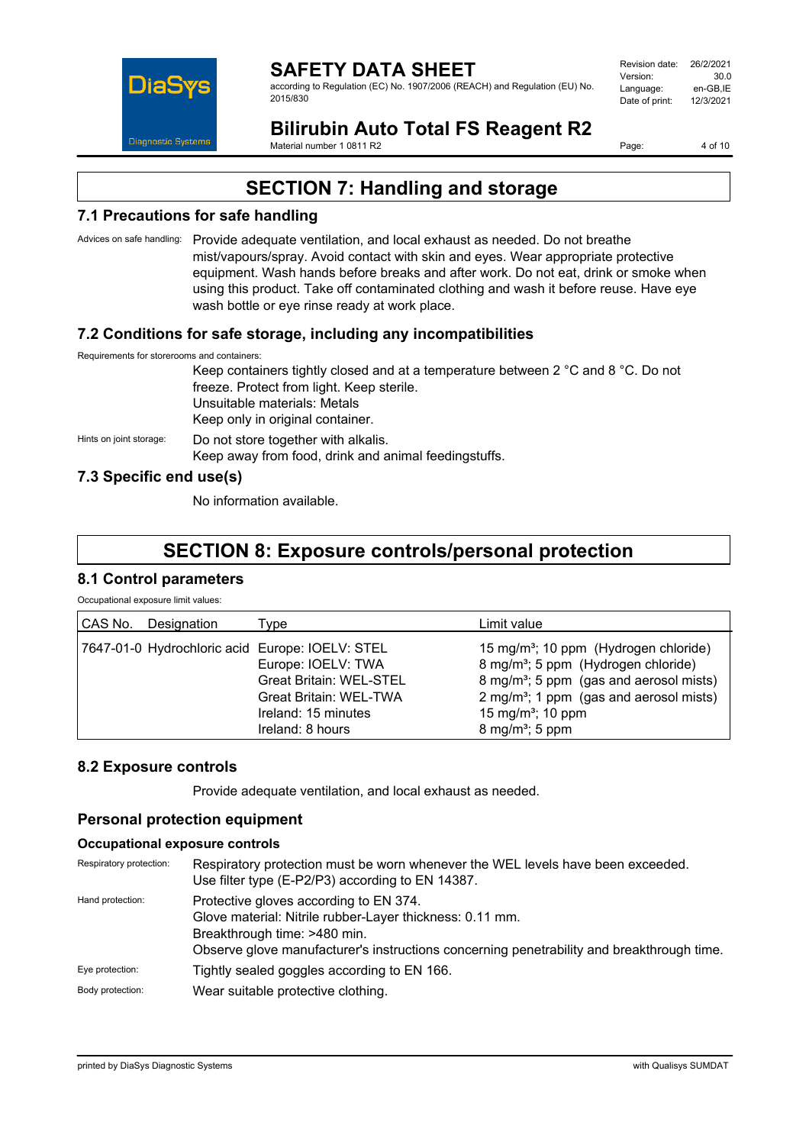

according to Regulation (EC) No. 1907/2006 (REACH) and Regulation (EU) No. 2015/830

Revision date: 26/2/2021 Version: 30.0<br>Language: en-GB IE Language: en-GB,IE<br>Date of print: 12/3/2021 Date of print:

**Bilirubin Auto Total FS Reagent R2** Material number 1 0811 R2

Page: 4 of 10

# **SECTION 7: Handling and storage**

## **7.1 Precautions for safe handling**

Advices on safe handling: Provide adequate ventilation, and local exhaust as needed. Do not breathe mist/vapours/spray. Avoid contact with skin and eyes. Wear appropriate protective equipment. Wash hands before breaks and after work. Do not eat, drink or smoke when using this product. Take off contaminated clothing and wash it before reuse. Have eye wash bottle or eye rinse ready at work place.

## **7.2 Conditions for safe storage, including any incompatibilities**

Requirements for storerooms and containers:

Keep containers tightly closed and at a temperature between 2 °C and 8 °C. Do not freeze. Protect from light. Keep sterile. Unsuitable materials: Metals Keep only in original container. Hints on joint storage: Do not store together with alkalis. Keep away from food, drink and animal feedingstuffs.

## **7.3 Specific end use(s)**

No information available.

# **SECTION 8: Exposure controls/personal protection**

## **8.1 Control parameters**

Occupational exposure limit values:

| CAS No.<br>Designation                          | Type                                                                                                                             | Limit value                                                                                                                                                                                                                                                                        |
|-------------------------------------------------|----------------------------------------------------------------------------------------------------------------------------------|------------------------------------------------------------------------------------------------------------------------------------------------------------------------------------------------------------------------------------------------------------------------------------|
| 7647-01-0 Hydrochloric acid Europe: IOELV: STEL | Europe: IOELV: TWA<br><b>Great Britain: WEL-STEL</b><br><b>Great Britain: WEL-TWA</b><br>Ireland: 15 minutes<br>Ireland: 8 hours | 15 mg/m <sup>3</sup> ; 10 ppm (Hydrogen chloride)<br>8 mg/m <sup>3</sup> ; 5 ppm (Hydrogen chloride)<br>8 mg/m <sup>3</sup> ; 5 ppm (gas and aerosol mists)<br>2 mg/m <sup>3</sup> ; 1 ppm (gas and aerosol mists)<br>15 mg/m <sup>3</sup> ; 10 ppm<br>8 mg/m <sup>3</sup> ; 5 ppm |

## **8.2 Exposure controls**

Provide adequate ventilation, and local exhaust as needed.

## **Personal protection equipment**

### **Occupational exposure controls**

| Respiratory protection: | Respiratory protection must be worn whenever the WEL levels have been exceeded.<br>Use filter type (E-P2/P3) according to EN 14387.                                                                                             |  |
|-------------------------|---------------------------------------------------------------------------------------------------------------------------------------------------------------------------------------------------------------------------------|--|
| Hand protection:        | Protective gloves according to EN 374.<br>Glove material: Nitrile rubber-Layer thickness: 0.11 mm.<br>Breakthrough time: >480 min.<br>Observe glove manufacturer's instructions concerning penetrability and breakthrough time. |  |
| Eye protection:         | Tightly sealed goggles according to EN 166.                                                                                                                                                                                     |  |
| Body protection:        | Wear suitable protective clothing.                                                                                                                                                                                              |  |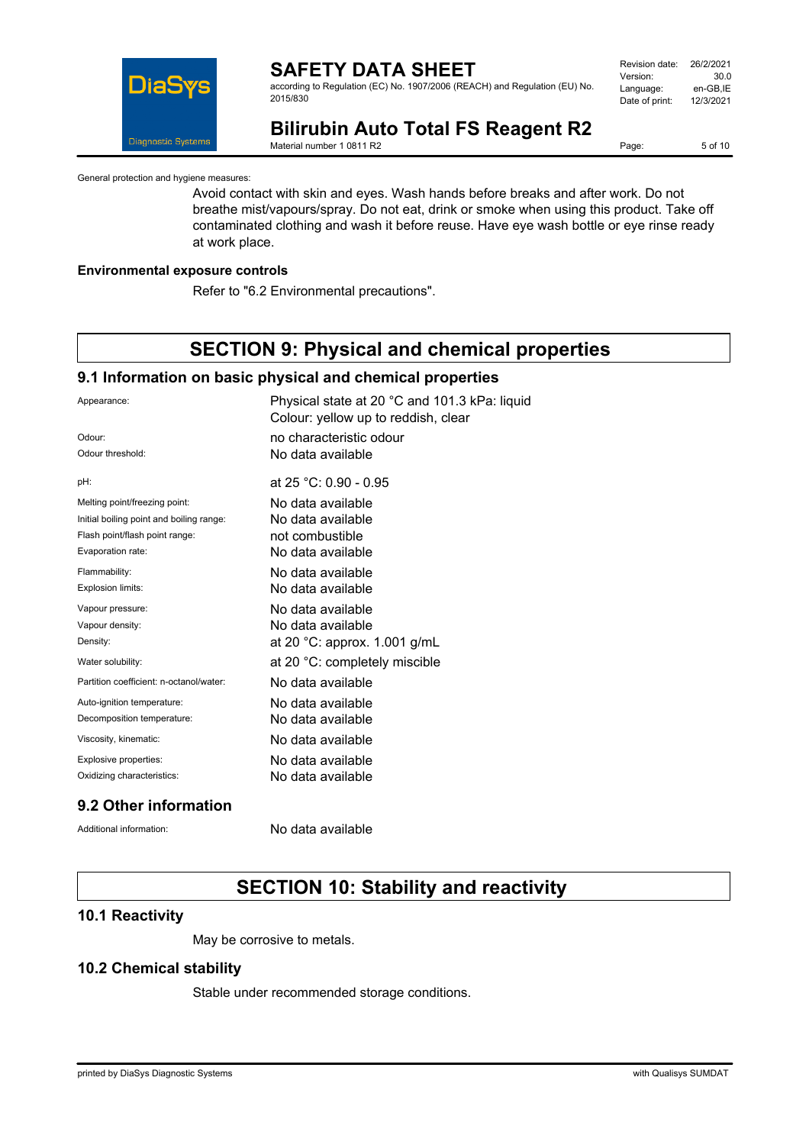

according to Regulation (EC) No. 1907/2006 (REACH) and Regulation (EU) No. 2015/830

| Revision date: | 26/2/2021 |
|----------------|-----------|
| Version:       | 30.0      |
| Language:      | en-GB.IE  |
| Date of print: | 12/3/2021 |
|                |           |

# **Bilirubin Auto Total FS Reagent R2**

Material number 1 0811 R2

Page: 5 of 10

General protection and hygiene measures:

Avoid contact with skin and eyes. Wash hands before breaks and after work. Do not breathe mist/vapours/spray. Do not eat, drink or smoke when using this product. Take off contaminated clothing and wash it before reuse. Have eye wash bottle or eye rinse ready at work place.

#### **Environmental exposure controls**

Refer to "6.2 Environmental precautions".

# **SECTION 9: Physical and chemical properties**

#### **9.1 Information on basic physical and chemical properties**

| Appearance:                              | Physical state at 20 °C and 101.3 kPa: liquid<br>Colour: yellow up to reddish, clear |
|------------------------------------------|--------------------------------------------------------------------------------------|
| Odour:                                   | no characteristic odour                                                              |
| Odour threshold:                         | No data available                                                                    |
| pH:                                      | at 25 °C: 0.90 - 0.95                                                                |
| Melting point/freezing point:            | No data available                                                                    |
| Initial boiling point and boiling range: | No data available                                                                    |
| Flash point/flash point range:           | not combustible                                                                      |
| Evaporation rate:                        | No data available                                                                    |
| Flammability:                            | No data available                                                                    |
| <b>Explosion limits:</b>                 | No data available                                                                    |
| Vapour pressure:                         | No data available                                                                    |
| Vapour density:                          | No data available                                                                    |
| Density:                                 | at 20 °C: approx. 1.001 g/mL                                                         |
| Water solubility:                        | at 20 °C: completely miscible                                                        |
| Partition coefficient: n-octanol/water:  | No data available                                                                    |
| Auto-ignition temperature:               | No data available                                                                    |
| Decomposition temperature:               | No data available                                                                    |
| Viscosity, kinematic:                    | No data available                                                                    |
| Explosive properties:                    | No data available                                                                    |
| Oxidizing characteristics:               | No data available                                                                    |
|                                          |                                                                                      |

### **9.2 Other information**

Additional information: No data available

# **SECTION 10: Stability and reactivity**

### **10.1 Reactivity**

May be corrosive to metals.

### **10.2 Chemical stability**

Stable under recommended storage conditions.

printed by DiaSys Diagnostic Systems with Qualisys SUMDAT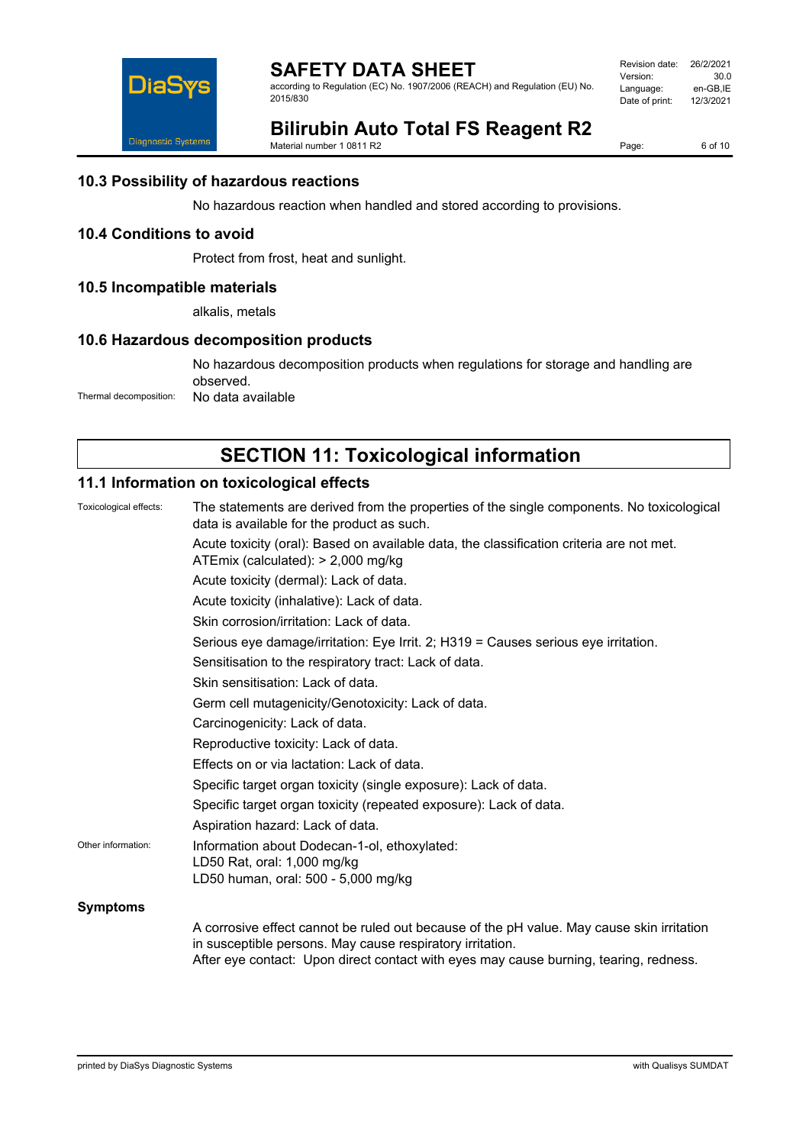

according to Regulation (EC) No. 1907/2006 (REACH) and Regulation (EU) No. 2015/830

Revision date: 26/2/2021<br>Version: 30.0 Version: 30.0<br>Language: en-GB,IE Language: en-GB,IE<br>Date of print: 12/3/2021 Date of print:

# **Bilirubin Auto Total FS Reagent R2**

Material number 1 0811 R2

Page: 6 of 10

### **10.3 Possibility of hazardous reactions**

No hazardous reaction when handled and stored according to provisions.

## **10.4 Conditions to avoid**

Protect from frost, heat and sunlight.

### **10.5 Incompatible materials**

alkalis, metals

### **10.6 Hazardous decomposition products**

No hazardous decomposition products when regulations for storage and handling are observed. Thermal decomposition: No data available

# **SECTION 11: Toxicological information**

### **11.1 Information on toxicological effects**

| Toxicological effects: | The statements are derived from the properties of the single components. No toxicological<br>data is available for the product as such.                                                                                                         |  |  |
|------------------------|-------------------------------------------------------------------------------------------------------------------------------------------------------------------------------------------------------------------------------------------------|--|--|
|                        | Acute toxicity (oral): Based on available data, the classification criteria are not met.<br>ATEmix (calculated): > 2,000 mg/kg                                                                                                                  |  |  |
|                        | Acute toxicity (dermal): Lack of data.                                                                                                                                                                                                          |  |  |
|                        | Acute toxicity (inhalative): Lack of data.                                                                                                                                                                                                      |  |  |
|                        | Skin corrosion/irritation: Lack of data.                                                                                                                                                                                                        |  |  |
|                        | Serious eye damage/irritation: Eye Irrit. 2; H319 = Causes serious eye irritation.                                                                                                                                                              |  |  |
|                        | Sensitisation to the respiratory tract: Lack of data.                                                                                                                                                                                           |  |  |
|                        | Skin sensitisation: Lack of data.                                                                                                                                                                                                               |  |  |
|                        | Germ cell mutagenicity/Genotoxicity: Lack of data.                                                                                                                                                                                              |  |  |
|                        | Carcinogenicity: Lack of data.                                                                                                                                                                                                                  |  |  |
|                        | Reproductive toxicity: Lack of data.                                                                                                                                                                                                            |  |  |
|                        | Effects on or via lactation: Lack of data.                                                                                                                                                                                                      |  |  |
|                        | Specific target organ toxicity (single exposure): Lack of data.                                                                                                                                                                                 |  |  |
|                        | Specific target organ toxicity (repeated exposure): Lack of data.                                                                                                                                                                               |  |  |
|                        | Aspiration hazard: Lack of data.                                                                                                                                                                                                                |  |  |
| Other information:     | Information about Dodecan-1-ol, ethoxylated:                                                                                                                                                                                                    |  |  |
|                        | LD50 Rat, oral: 1,000 mg/kg                                                                                                                                                                                                                     |  |  |
|                        | LD50 human, oral: 500 - 5,000 mg/kg                                                                                                                                                                                                             |  |  |
| <b>Symptoms</b>        |                                                                                                                                                                                                                                                 |  |  |
|                        | A corrosive effect cannot be ruled out because of the pH value. May cause skin irritation<br>in susceptible persons. May cause respiratory irritation.<br>After eye contact: Upon direct contact with eyes may cause burning, tearing, redness. |  |  |
|                        |                                                                                                                                                                                                                                                 |  |  |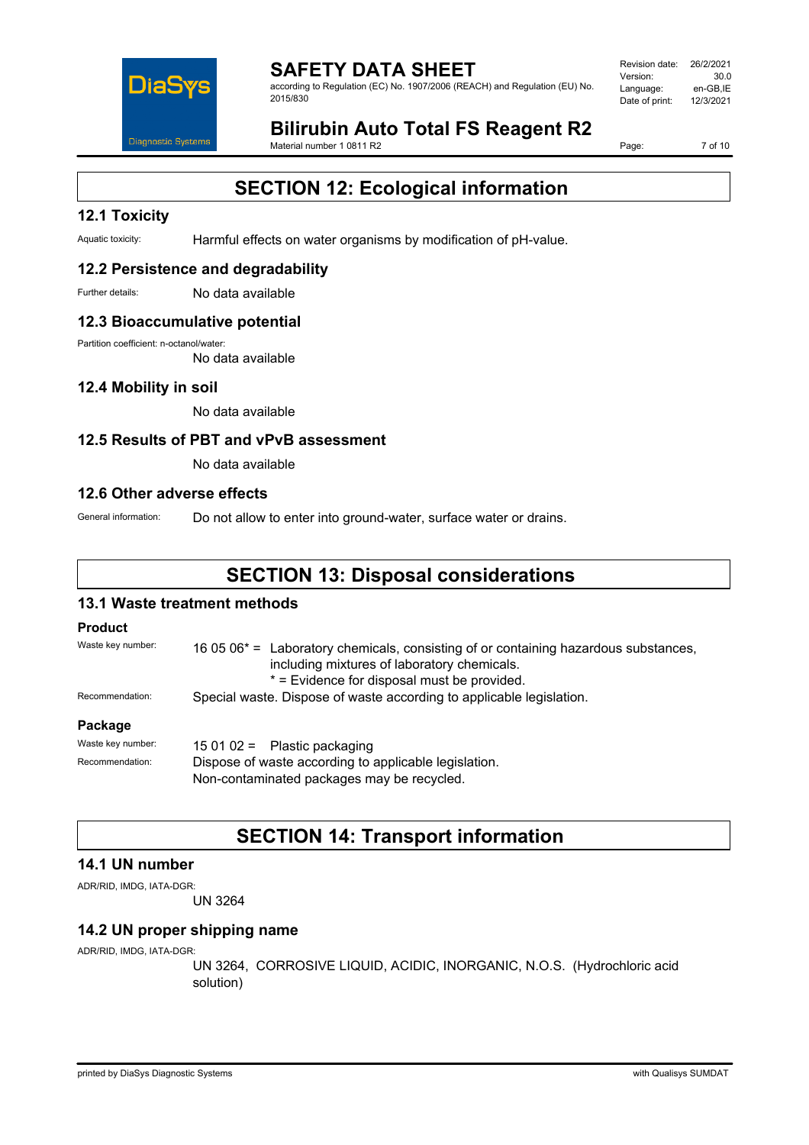

according to Regulation (EC) No. 1907/2006 (REACH) and Regulation (EU) No. 2015/830

Revision date: 26/2/2021<br>Version: 30.0 Version: Language: en-GB,IE<br>Date of print: 12/3/2021 Date of print:

# **Bilirubin Auto Total FS Reagent R2**

Material number 1 0811 R2

Page: 7 of 10

# **SECTION 12: Ecological information**

## **12.1 Toxicity**

Aquatic toxicity: Harmful effects on water organisms by modification of pH-value.

### **12.2 Persistence and degradability**

Further details: No data available

### **12.3 Bioaccumulative potential**

Partition coefficient: n-octanol/water:

No data available

### **12.4 Mobility in soil**

No data available

### **12.5 Results of PBT and vPvB assessment**

No data available

#### **12.6 Other adverse effects**

General information: Do not allow to enter into ground-water, surface water or drains.

# **SECTION 13: Disposal considerations**

### **13.1 Waste treatment methods**

#### **Product**

| Waste key number: | 16 05 $06*$ = Laboratory chemicals, consisting of or containing hazardous substances,<br>including mixtures of laboratory chemicals.<br>* = Evidence for disposal must be provided. |  |
|-------------------|-------------------------------------------------------------------------------------------------------------------------------------------------------------------------------------|--|
| Recommendation:   | Special waste. Dispose of waste according to applicable legislation.                                                                                                                |  |
| Package           |                                                                                                                                                                                     |  |
| Waste key number: | 15 01 02 = Plastic packaging                                                                                                                                                        |  |
| Recommendation:   | Dispose of waste according to applicable legislation                                                                                                                                |  |

Dispose of waste according to applicable legislation. Non-contaminated packages may be recycled.

# **SECTION 14: Transport information**

### **14.1 UN number**

ADR/RID, IMDG, IATA-DGR:

UN 3264

## **14.2 UN proper shipping name**

ADR/RID, IMDG, IATA-DGR:

UN 3264, CORROSIVE LIQUID, ACIDIC, INORGANIC, N.O.S. (Hydrochloric acid solution)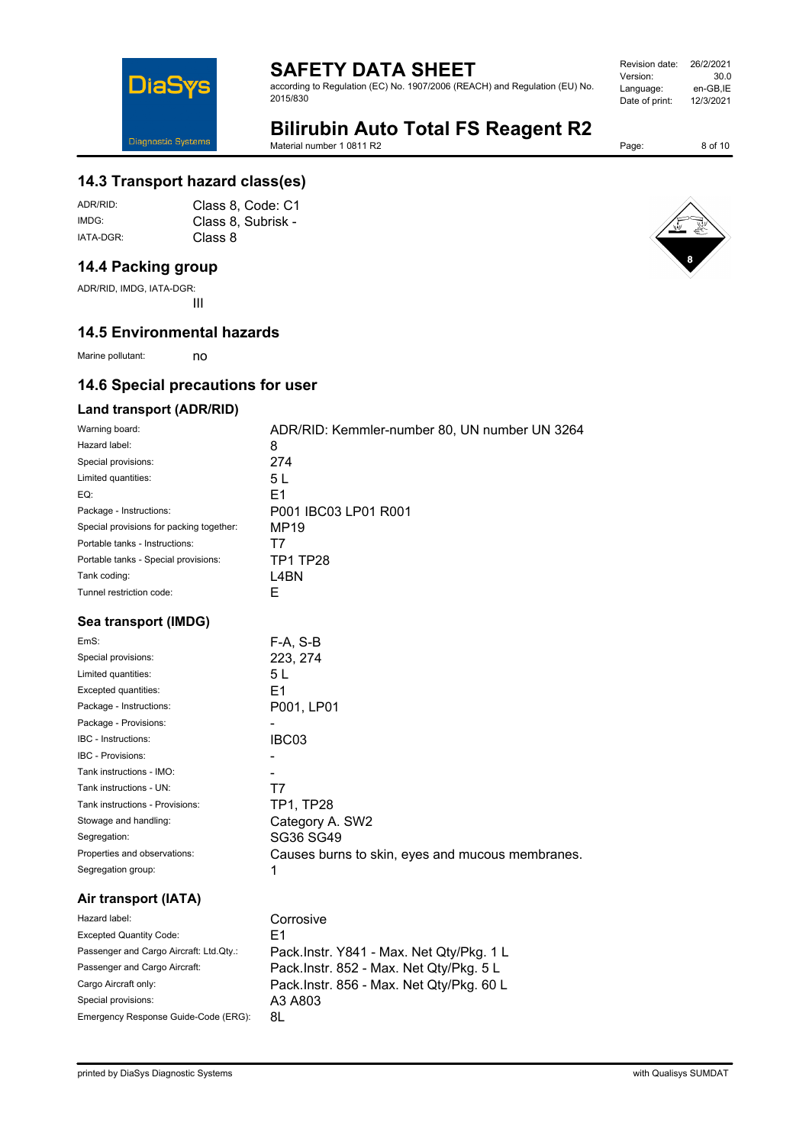according to Regulation (EC) No. 1907/2006 (REACH) and Regulation (EU) No. 2015/830

| Revision date: | 26/2/2021 |
|----------------|-----------|
| Version:       | 30.0      |
| Language:      | en-GB.IE  |
| Date of print: | 12/3/2021 |
|                |           |

# **Bilirubin Auto Total FS Reagent R2**

Material number 1 0811 R2

Page: 8 of 10

## **14.3 Transport hazard class(es)**

ADR/RID: Class 8, Code: C1 IMDG: Class 8, Subrisk - IATA-DGR: Class 8

# **14.4 Packing group**

**DiaS** 

Diagnostic Systems

ADR/RID, IMDG, IATA-DGR: III

### **14.5 Environmental hazards**

Marine pollutant: no

# **14.6 Special precautions for user**

### **Land transport (ADR/RID)**

| Warning board:                           | ADR/RID: Kemmler-number 80, UN number UN 3264    |
|------------------------------------------|--------------------------------------------------|
| Hazard label:                            | 8                                                |
| Special provisions:                      | 274                                              |
| Limited quantities:                      | 5L                                               |
| EQ:                                      | E <sub>1</sub>                                   |
| Package - Instructions:                  | P001 IBC03 LP01 R001                             |
| Special provisions for packing together: | MP19                                             |
| Portable tanks - Instructions:           | Τ7                                               |
| Portable tanks - Special provisions:     | <b>TP1 TP28</b>                                  |
| Tank coding:                             | L4BN                                             |
| Tunnel restriction code:                 | Е                                                |
| Sea transport (IMDG)                     |                                                  |
| EmS:                                     | $F-A, S-B$                                       |
| Special provisions:                      | 223, 274                                         |
| Limited quantities:                      | 5 L                                              |
| Excepted quantities:                     | E <sub>1</sub>                                   |
| Package - Instructions:                  | P001, LP01                                       |
| Package - Provisions:                    |                                                  |
| <b>IBC</b> - Instructions:               | IBC03                                            |
| <b>IBC - Provisions:</b>                 |                                                  |
| Tank instructions - IMO:                 |                                                  |
| Tank instructions - UN:                  | Τ7                                               |
| Tank instructions - Provisions:          | TP1, TP28                                        |
| Stowage and handling:                    | Category A. SW2                                  |
| Segregation:                             | SG36 SG49                                        |
| Properties and observations:             | Causes burns to skin, eyes and mucous membranes. |
| Segregation group:                       | 1                                                |
| Air transport (IATA)                     |                                                  |
| Hazard label:                            | Corrosive                                        |
| <b>Excepted Quantity Code:</b>           | E1                                               |
| Passenger and Cargo Aircraft: Ltd.Qty.:  | Pack.Instr. Y841 - Max. Net Qty/Pkg. 1 L         |
| Passenger and Cargo Aircraft:            | Pack.Instr. 852 - Max. Net Qty/Pkg. 5 L          |
| Cargo Aircraft only:                     | Pack.Instr. 856 - Max. Net Qty/Pkg. 60 L         |
| Special provisions:                      | A3 A803                                          |



Emergency Response Guide-Code (ERG): 8L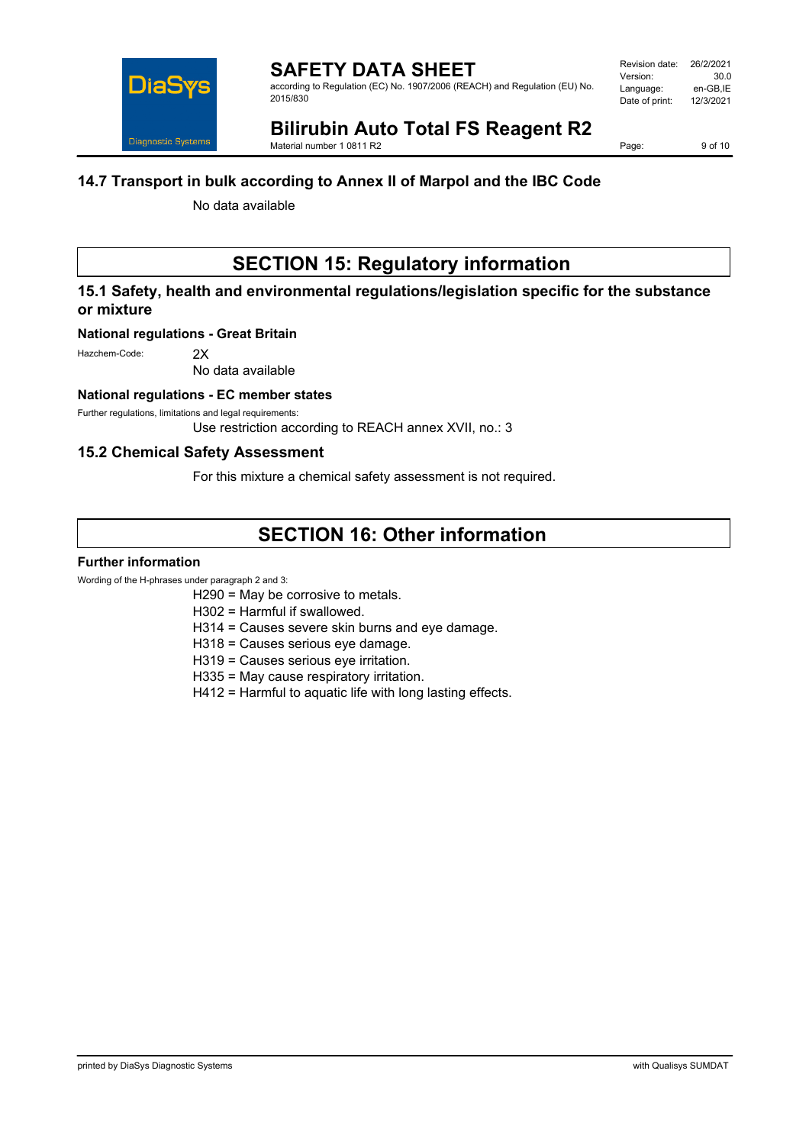

according to Regulation (EC) No. 1907/2006 (REACH) and Regulation (EU) No. 2015/830

# **Bilirubin Auto Total FS Reagent R2**

Material number 1 0811 R2

Page: 9 of 10

### **14.7 Transport in bulk according to Annex II of Marpol and the IBC Code**

No data available

# **SECTION 15: Regulatory information**

# **15.1 Safety, health and environmental regulations/legislation specific for the substance or mixture**

#### **National regulations - Great Britain**

Hazchem-Code: 2X

No data available

#### **National regulations - EC member states**

Further regulations, limitations and legal requirements:

Use restriction according to REACH annex XVII, no.: 3

### **15.2 Chemical Safety Assessment**

For this mixture a chemical safety assessment is not required.

# **SECTION 16: Other information**

#### **Further information**

Wording of the H-phrases under paragraph 2 and 3:

H290 = May be corrosive to metals.

H302 = Harmful if swallowed.

- H314 = Causes severe skin burns and eye damage.
- H318 = Causes serious eye damage.
- H319 = Causes serious eye irritation.
- H335 = May cause respiratory irritation.
- H412 = Harmful to aquatic life with long lasting effects.